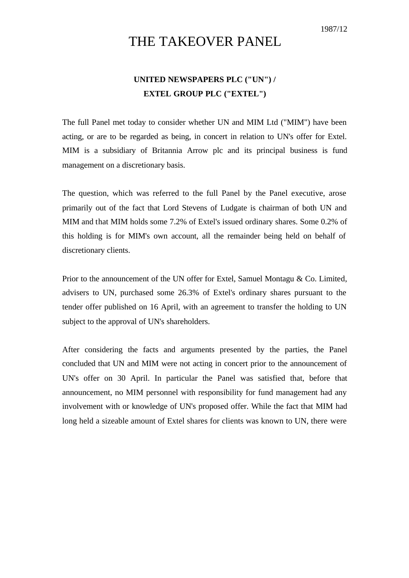## THE TAKEOVER PANEL

## **UNITED NEWSPAPERS PLC ("UN") / EXTEL GROUP PLC ("EXTEL")**

The full Panel met today to consider whether UN and MIM Ltd ("MIM") have been acting, or are to be regarded as being, in concert in relation to UN's offer for Extel. MIM is a subsidiary of Britannia Arrow plc and its principal business is fund management on a discretionary basis.

The question, which was referred to the full Panel by the Panel executive, arose primarily out of the fact that Lord Stevens of Ludgate is chairman of both UN and MIM and that MIM holds some 7.2% of Extel's issued ordinary shares. Some 0.2% of this holding is for MIM's own account, all the remainder being held on behalf of discretionary clients.

Prior to the announcement of the UN offer for Extel, Samuel Montagu & Co. Limited, advisers to UN, purchased some 26.3% of Extel's ordinary shares pursuant to the tender offer published on 16 April, with an agreement to transfer the holding to UN subject to the approval of UN's shareholders.

After considering the facts and arguments presented by the parties, the Panel concluded that UN and MIM were not acting in concert prior to the announcement of UN's offer on 30 April. In particular the Panel was satisfied that, before that announcement, no MIM personnel with responsibility for fund management had any involvement with or knowledge of UN's proposed offer. While the fact that MIM had long held a sizeable amount of Extel shares for clients was known to UN, there were